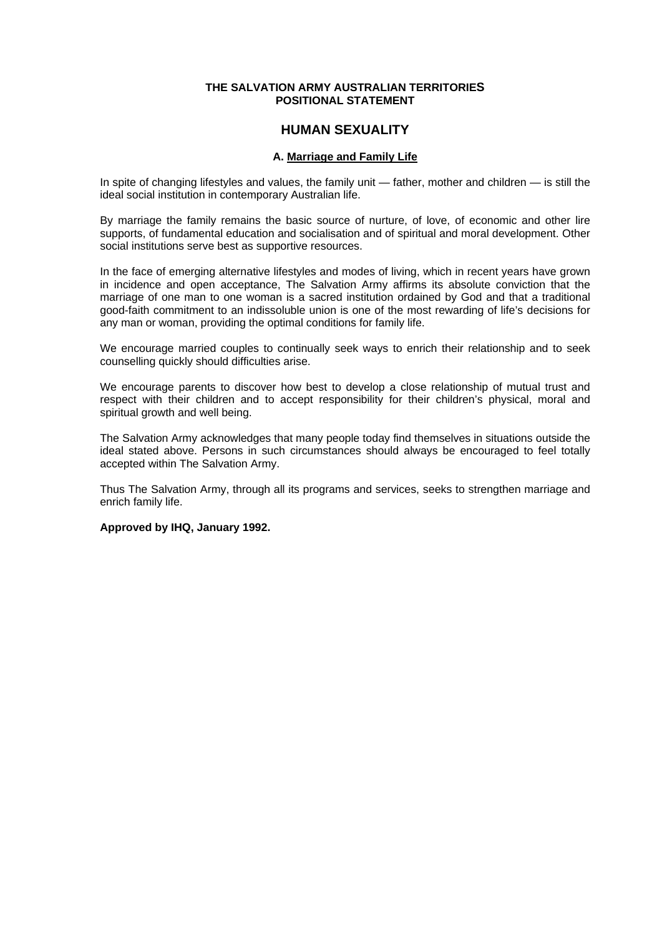### **THE SALVATION ARMY AUSTRALIAN TERRITORIES POSITIONAL STATEMENT**

# **HUMAN SEXUALITY**

## **A. Marriage and Family Life**

In spite of changing lifestyles and values, the family unit — father, mother and children — is still the ideal social institution in contemporary Australian life.

By marriage the family remains the basic source of nurture, of love, of economic and other lire supports, of fundamental education and socialisation and of spiritual and moral development. Other social institutions serve best as supportive resources.

In the face of emerging alternative lifestyles and modes of living, which in recent years have grown in incidence and open acceptance, The Salvation Army affirms its absolute conviction that the marriage of one man to one woman is a sacred institution ordained by God and that a traditional good-faith commitment to an indissoluble union is one of the most rewarding of life's decisions for any man or woman, providing the optimal conditions for family life.

We encourage married couples to continually seek ways to enrich their relationship and to seek counselling quickly should difficulties arise.

We encourage parents to discover how best to develop a close relationship of mutual trust and respect with their children and to accept responsibility for their children's physical, moral and spiritual growth and well being.

The Salvation Army acknowledges that many people today find themselves in situations outside the ideal stated above. Persons in such circumstances should always be encouraged to feel totally accepted within The Salvation Army.

Thus The Salvation Army, through all its programs and services, seeks to strengthen marriage and enrich family life.

**Approved by IHQ, January 1992.**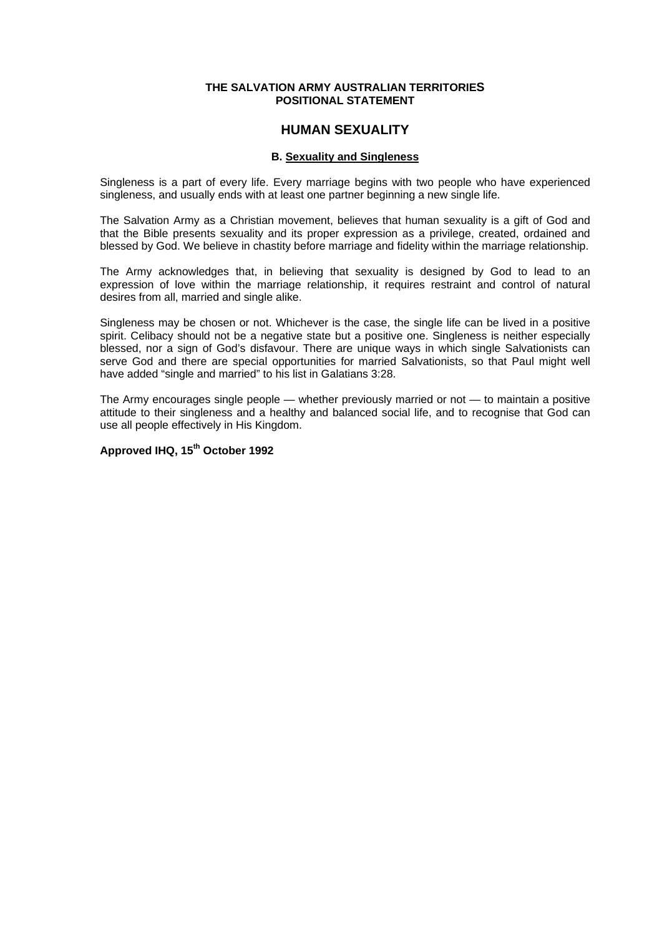### **THE SALVATION ARMY AUSTRALIAN TERRITORIES POSITIONAL STATEMENT**

## **HUMAN SEXUALITY**

## **B. Sexuality and Singleness**

Singleness is a part of every life. Every marriage begins with two people who have experienced singleness, and usually ends with at least one partner beginning a new single life.

The Salvation Army as a Christian movement, believes that human sexuality is a gift of God and that the Bible presents sexuality and its proper expression as a privilege, created, ordained and blessed by God. We believe in chastity before marriage and fidelity within the marriage relationship.

The Army acknowledges that, in believing that sexuality is designed by God to lead to an expression of love within the marriage relationship, it requires restraint and control of natural desires from all, married and single alike.

Singleness may be chosen or not. Whichever is the case, the single life can be lived in a positive spirit. Celibacy should not be a negative state but a positive one. Singleness is neither especially blessed, nor a sign of God's disfavour. There are unique ways in which single Salvationists can serve God and there are special opportunities for married Salvationists, so that Paul might well have added "single and married" to his list in Galatians 3:28.

The Army encourages single people — whether previously married or not — to maintain a positive attitude to their singleness and a healthy and balanced social life, and to recognise that God can use all people effectively in His Kingdom.

# **Approved IHQ, 15th October 1992**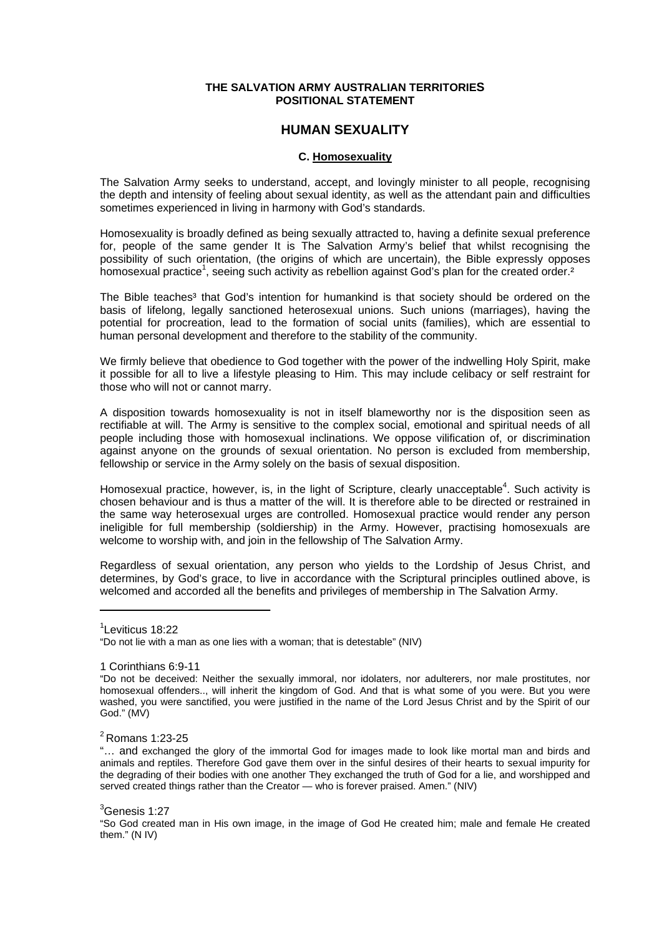### **THE SALVATION ARMY AUSTRALIAN TERRITORIES POSITIONAL STATEMENT**

## **HUMAN SEXUALITY**

### **C. Homosexuality**

The Salvation Army seeks to understand, accept, and lovingly minister to all people, recognising the depth and intensity of feeling about sexual identity, as well as the attendant pain and difficulties sometimes experienced in living in harmony with God's standards.

Homosexuality is broadly defined as being sexually attracted to, having a definite sexual preference for, people of the same gender It is The Salvation Army's belief that whilst recognising the possibility of such orientation, (the origins of which are uncertain), the Bible expressly opposes homosexual practice<sup>1</sup>, seeing such activity as rebellion against God's plan for the created order.<sup>2</sup>

The Bible teaches<sup>3</sup> that God's intention for humankind is that society should be ordered on the basis of lifelong, legally sanctioned heterosexual unions. Such unions (marriages), having the potential for procreation, lead to the formation of social units (families), which are essential to human personal development and therefore to the stability of the community.

We firmly believe that obedience to God together with the power of the indwelling Holy Spirit, make it possible for all to live a lifestyle pleasing to Him. This may include celibacy or self restraint for those who will not or cannot marry.

A disposition towards homosexuality is not in itself blameworthy nor is the disposition seen as rectifiable at will. The Army is sensitive to the complex social, emotional and spiritual needs of all people including those with homosexual inclinations. We oppose vilification of, or discrimination against anyone on the grounds of sexual orientation. No person is excluded from membership, fellowship or service in the Army solely on the basis of sexual disposition.

Homosexual practice, however, is, in the light of Scripture, clearly unacceptable<sup>4</sup>. Such activity is chosen behaviour and is thus a matter of the will. It is therefore able to be directed or restrained in the same way heterosexual urges are controlled. Homosexual practice would render any person ineligible for full membership (soldiership) in the Army. However, practising homosexuals are welcome to worship with, and join in the fellowship of The Salvation Army.

Regardless of sexual orientation, any person who yields to the Lordship of Jesus Christ, and determines, by God's grace, to live in accordance with the Scriptural principles outlined above, is welcomed and accorded all the benefits and privileges of membership in The Salvation Army.

<sup>1</sup> Leviticus 18:22

<sup>&</sup>quot;Do not lie with a man as one lies with a woman; that is detestable" (NIV)

<sup>1</sup> Corinthians 6:9-11

<sup>&</sup>quot;Do not be deceived: Neither the sexually immoral, nor idolaters, nor adulterers, nor male prostitutes, nor homosexual offenders.., will inherit the kingdom of God. And that is what some of you were. But you were washed, you were sanctified, you were justified in the name of the Lord Jesus Christ and by the Spirit of our God." (MV)

<sup>2</sup> Romans 1:23-25

<sup>&</sup>quot;… and exchanged the glory of the immortal God for images made to look like mortal man and birds and animals and reptiles. Therefore God gave them over in the sinful desires of their hearts to sexual impurity for the degrading of their bodies with one another They exchanged the truth of God for a lie, and worshipped and served created things rather than the Creator — who is forever praised. Amen." (NIV)

<sup>&</sup>lt;sup>3</sup>Genesis 1:27

<sup>&</sup>quot;So God created man in His own image, in the image of God He created him; male and female He created them." (N IV)